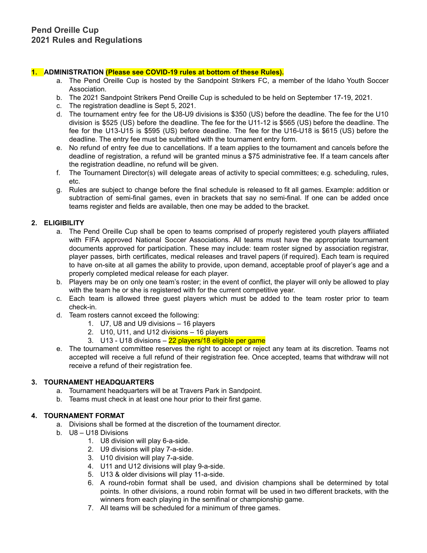# **1. ADMINISTRATION (Please see COVID-19 rules at bottom of these Rules).**

- a. The Pend Oreille Cup is hosted by the Sandpoint Strikers FC, a member of the Idaho Youth Soccer Association.
- b. The 2021 Sandpoint Strikers Pend Oreille Cup is scheduled to be held on September 17-19, 2021.
- c. The registration deadline is Sept 5, 2021.
- d. The tournament entry fee for the U8-U9 divisions is \$350 (US) before the deadline. The fee for the U10 division is \$525 (US) before the deadline. The fee for the U11-12 is \$565 (US) before the deadline. The fee for the U13-U15 is \$595 (US) before deadline. The fee for the U16-U18 is \$615 (US) before the deadline. The entry fee must be submitted with the tournament entry form.
- e. No refund of entry fee due to cancellations. If a team applies to the tournament and cancels before the deadline of registration, a refund will be granted minus a \$75 administrative fee. If a team cancels after the registration deadline, no refund will be given.
- f. The Tournament Director(s) will delegate areas of activity to special committees; e.g. scheduling, rules, etc.
- g. Rules are subject to change before the final schedule is released to fit all games. Example: addition or subtraction of semi-final games, even in brackets that say no semi-final. If one can be added once teams register and fields are available, then one may be added to the bracket.

# **2. ELIGIBILITY**

- a. The Pend Oreille Cup shall be open to teams comprised of properly registered youth players affiliated with FIFA approved National Soccer Associations. All teams must have the appropriate tournament documents approved for participation. These may include: team roster signed by association registrar, player passes, birth certificates, medical releases and travel papers (if required). Each team is required to have on-site at all games the ability to provide, upon demand, acceptable proof of player's age and a properly completed medical release for each player.
- b. Players may be on only one team's roster; in the event of conflict, the player will only be allowed to play with the team he or she is registered with for the current competitive year.
- c. Each team is allowed three guest players which must be added to the team roster prior to team check-in.
- d. Team rosters cannot exceed the following:
	- 1. U7, U8 and U9 divisions 16 players
	- 2. U10, U11, and U12 divisions 16 players
	- 3. U13 U18 divisions 22 players/18 eligible per game
- e. The tournament committee reserves the right to accept or reject any team at its discretion. Teams not accepted will receive a full refund of their registration fee. Once accepted, teams that withdraw will not receive a refund of their registration fee.

# **3. TOURNAMENT HEADQUARTERS**

- a. Tournament headquarters will be at Travers Park in Sandpoint.
- b. Teams must check in at least one hour prior to their first game.

# **4. TOURNAMENT FORMAT**

- a. Divisions shall be formed at the discretion of the tournament director.
- b. U8 U18 Divisions
	- 1. U8 division will play 6-a-side.
	- 2. U9 divisions will play 7-a-side.
	- 3. U10 division will play 7-a-side.
	- 4. U11 and U12 divisions will play 9-a-side.
	- 5. U13 & older divisions will play 11-a-side.
	- 6. A round-robin format shall be used, and division champions shall be determined by total points. In other divisions, a round robin format will be used in two different brackets, with the winners from each playing in the semifinal or championship game.
	- 7. All teams will be scheduled for a minimum of three games.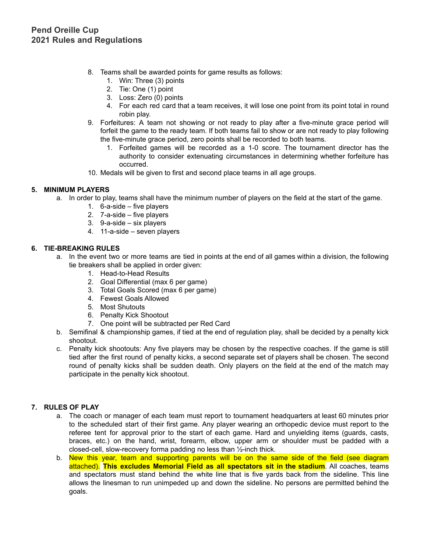- 8. Teams shall be awarded points for game results as follows:
	- 1. Win: Three (3) points
	- 2. Tie: One (1) point
	- 3. Loss: Zero (0) points
	- 4. For each red card that a team receives, it will lose one point from its point total in round robin play.
- 9. Forfeitures: A team not showing or not ready to play after a five-minute grace period will forfeit the game to the ready team. If both teams fail to show or are not ready to play following the five-minute grace period, zero points shall be recorded to both teams.
	- 1. Forfeited games will be recorded as a 1-0 score. The tournament director has the authority to consider extenuating circumstances in determining whether forfeiture has occurred.
- 10. Medals will be given to first and second place teams in all age groups.

# **5. MINIMUM PLAYERS**

- a. In order to play, teams shall have the minimum number of players on the field at the start of the game.
	- 1. 6-a-side five players
	- 2. 7-a-side five players
	- 3. 9-a-side six players
	- 4. 11-a-side seven players

# **6. TIE-BREAKING RULES**

- a. In the event two or more teams are tied in points at the end of all games within a division, the following tie breakers shall be applied in order given:
	- 1. Head-to-Head Results
	- 2. Goal Differential (max 6 per game)
	- 3. Total Goals Scored (max 6 per game)
	- 4. Fewest Goals Allowed
	- 5. Most Shutouts
	- 6. Penalty Kick Shootout
	- 7. One point will be subtracted per Red Card
- b. Semifinal & championship games, if tied at the end of regulation play, shall be decided by a penalty kick shootout.
- c. Penalty kick shootouts: Any five players may be chosen by the respective coaches. If the game is still tied after the first round of penalty kicks, a second separate set of players shall be chosen. The second round of penalty kicks shall be sudden death. Only players on the field at the end of the match may participate in the penalty kick shootout.

# **7. RULES OF PLAY**

- a. The coach or manager of each team must report to tournament headquarters at least 60 minutes prior to the scheduled start of their first game. Any player wearing an orthopedic device must report to the referee tent for approval prior to the start of each game. Hard and unyielding items (guards, casts, braces, etc.) on the hand, wrist, forearm, elbow, upper arm or shoulder must be padded with a closed-cell, slow-recovery forma padding no less than ½-inch thick.
- b. New this year, team and supporting parents will be on the same side of the field (see diagram attached). **This excludes Memorial Field as all spectators sit in the stadium**. All coaches, teams and spectators must stand behind the white line that is five yards back from the sideline. This line allows the linesman to run unimpeded up and down the sideline. No persons are permitted behind the goals.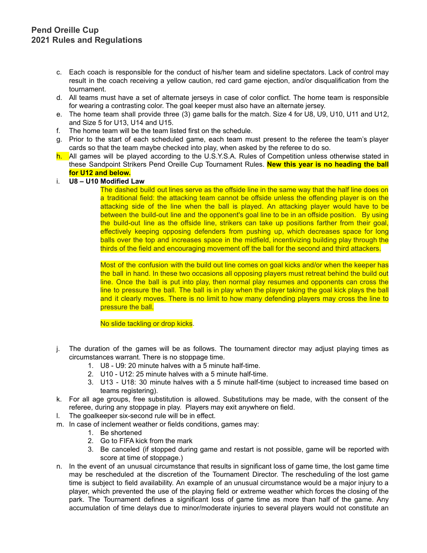- c. Each coach is responsible for the conduct of his/her team and sideline spectators. Lack of control may result in the coach receiving a yellow caution, red card game ejection, and/or disqualification from the tournament.
- d. All teams must have a set of alternate jerseys in case of color conflict. The home team is responsible for wearing a contrasting color. The goal keeper must also have an alternate jersey.
- e. The home team shall provide three (3) game balls for the match. Size 4 for U8, U9, U10, U11 and U12, and Size 5 for U13, U14 and U15.
- f. The home team will be the team listed first on the schedule.
- g. Prior to the start of each scheduled game, each team must present to the referee the team's player cards so that the team maybe checked into play, when asked by the referee to do so.
- h. All games will be played according to the U.S.Y.S.A. Rules of Competition unless otherwise stated in these Sandpoint Strikers Pend Oreille Cup Tournament Rules. **New this year is no heading the ball for U12 and below.**

#### i. **U8 – U10 Modified Law**

The dashed build out lines serve as the offside line in the same way that the half line does on a traditional field: the attacking team cannot be offside unless the offending player is on the attacking side of the line when the ball is played. An attacking player would have to be between the build-out line and the opponent's goal line to be in an offside position. By using the build-out line as the offside line, strikers can take up positions farther from their goal, effectively keeping opposing defenders from pushing up, which decreases space for long balls over the top and increases space in the midfield, incentivizing building play through the thirds of the field and encouraging movement off the ball for the second and third attackers.

Most of the confusion with the build out line comes on goal kicks and/or when the keeper has the ball in hand. In these two occasions all opposing players must retreat behind the build out line. Once the ball is put into play, then normal play resumes and opponents can cross the line to pressure the ball. The ball is in play when the player taking the goal kick plays the ball and it clearly moves. There is no limit to how many defending players may cross the line to pressure the ball.

No slide tackling or drop kicks.

- j. The duration of the games will be as follows. The tournament director may adjust playing times as circumstances warrant. There is no stoppage time.
	- 1. U8 U9: 20 minute halves with a 5 minute half-time.
	- 2. U10 U12: 25 minute halves with a 5 minute half-time.
	- 3. U13 U18: 30 minute halves with a 5 minute half-time (subject to increased time based on teams registering).
- k. For all age groups, free substitution is allowed. Substitutions may be made, with the consent of the referee, during any stoppage in play. Players may exit anywhere on field.
- The goalkeeper six-second rule will be in effect.
- m. In case of inclement weather or fields conditions, games may:
	- 1. Be shortened
	- 2. Go to FIFA kick from the mark
	- 3. Be canceled (if stopped during game and restart is not possible, game will be reported with score at time of stoppage.)
- n. In the event of an unusual circumstance that results in significant loss of game time, the lost game time may be rescheduled at the discretion of the Tournament Director. The rescheduling of the lost game time is subject to field availability. An example of an unusual circumstance would be a major injury to a player, which prevented the use of the playing field or extreme weather which forces the closing of the park. The Tournament defines a significant loss of game time as more than half of the game. Any accumulation of time delays due to minor/moderate injuries to several players would not constitute an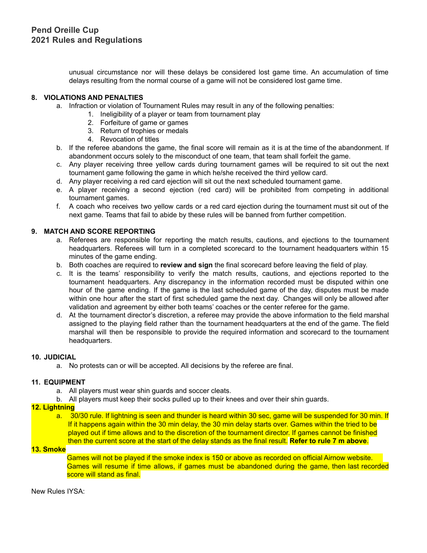unusual circumstance nor will these delays be considered lost game time. An accumulation of time delays resulting from the normal course of a game will not be considered lost game time.

# **8. VIOLATIONS AND PENALTIES**

- a. Infraction or violation of Tournament Rules may result in any of the following penalties:
	- 1. Ineligibility of a player or team from tournament play
		- 2. Forfeiture of game or games
		- 3. Return of trophies or medals
		- 4. Revocation of titles
- b. If the referee abandons the game, the final score will remain as it is at the time of the abandonment. If abandonment occurs solely to the misconduct of one team, that team shall forfeit the game.
- c. Any player receiving three yellow cards during tournament games will be required to sit out the next tournament game following the game in which he/she received the third yellow card.
- d. Any player receiving a red card ejection will sit out the next scheduled tournament game.
- e. A player receiving a second ejection (red card) will be prohibited from competing in additional tournament games.
- f. A coach who receives two yellow cards or a red card ejection during the tournament must sit out of the next game. Teams that fail to abide by these rules will be banned from further competition.

# **9. MATCH AND SCORE REPORTING**

- a. Referees are responsible for reporting the match results, cautions, and ejections to the tournament headquarters. Referees will turn in a completed scorecard to the tournament headquarters within 15 minutes of the game ending.
- b. Both coaches are required to **review and sign** the final scorecard before leaving the field of play.
- c. It is the teams' responsibility to verify the match results, cautions, and ejections reported to the tournament headquarters. Any discrepancy in the information recorded must be disputed within one hour of the game ending. If the game is the last scheduled game of the day, disputes must be made within one hour after the start of first scheduled game the next day. Changes will only be allowed after validation and agreement by either both teams' coaches or the center referee for the game.
- d. At the tournament director's discretion, a referee may provide the above information to the field marshal assigned to the playing field rather than the tournament headquarters at the end of the game. The field marshal will then be responsible to provide the required information and scorecard to the tournament headquarters.

# **10. JUDICIAL**

a. No protests can or will be accepted. All decisions by the referee are final.

# **11. EQUIPMENT**

- a. All players must wear shin guards and soccer cleats.
- b. All players must keep their socks pulled up to their knees and over their shin guards.

# **12. Lightning**

a. 30/30 rule. If lightning is seen and thunder is heard within 30 sec, game will be suspended for 30 min. If If it happens again within the 30 min delay, the 30 min delay starts over. Games within the tried to be played out if time allows and to the discretion of the tournament director. If games cannot be finished then the current score at the start of the delay stands as the final result. **Refer to rule 7 m above**.

# **13. Smoke**

Games will not be played if the smoke index is 150 or above as recorded on official Airnow website. Games will resume if time allows, if games must be abandoned during the game, then last recorded score will stand as final.

New Rules IYSA: